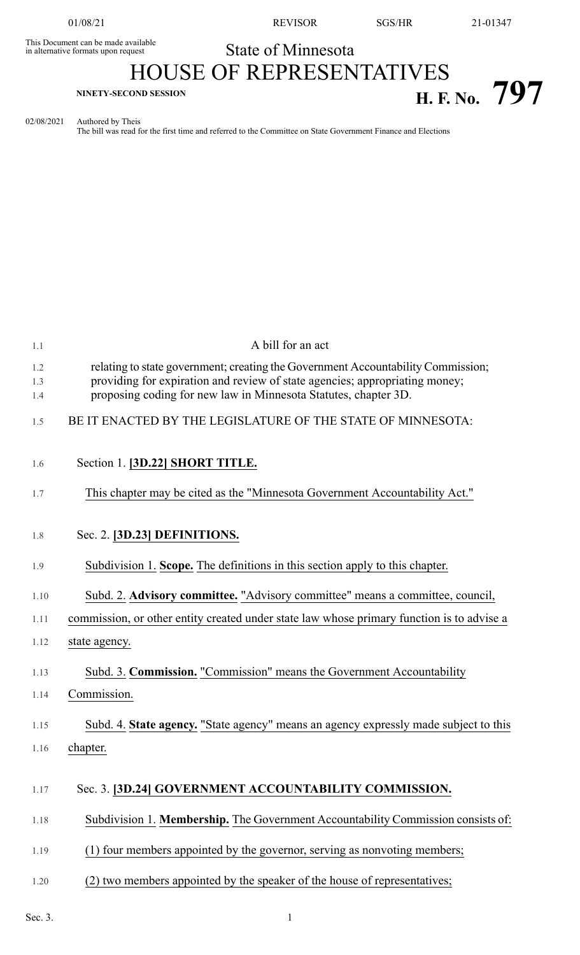This Document can be made available<br>in alternative formats upon request

01/08/21 REVISOR SGS/HR 21-01347

## State of Minnesota HOUSE OF REPRESENTATIVES **H. F.** No. 797

02/08/2021 Authored by Theis

The bill was read for the first time and referred to the Committee on State Government Finance and Elections

| 1.1        | A bill for an act                                                                                                                                               |
|------------|-----------------------------------------------------------------------------------------------------------------------------------------------------------------|
| 1.2<br>1.3 | relating to state government; creating the Government Accountability Commission;<br>providing for expiration and review of state agencies; appropriating money; |
| 1.4        | proposing coding for new law in Minnesota Statutes, chapter 3D.                                                                                                 |
| 1.5        | BE IT ENACTED BY THE LEGISLATURE OF THE STATE OF MINNESOTA:                                                                                                     |
| 1.6        | Section 1. [3D.22] SHORT TITLE.                                                                                                                                 |
| 1.7        | This chapter may be cited as the "Minnesota Government Accountability Act."                                                                                     |
| 1.8        | Sec. 2. [3D.23] DEFINITIONS.                                                                                                                                    |
| 1.9        | Subdivision 1. Scope. The definitions in this section apply to this chapter.                                                                                    |
| 1.10       | Subd. 2. Advisory committee. "Advisory committee" means a committee, council,                                                                                   |
| 1.11       | commission, or other entity created under state law whose primary function is to advise a                                                                       |
| 1.12       | state agency.                                                                                                                                                   |
| 1.13       | Subd. 3. Commission. "Commission" means the Government Accountability                                                                                           |
| 1.14       | Commission.                                                                                                                                                     |
| 1.15       | Subd. 4. State agency. "State agency" means an agency expressly made subject to this                                                                            |
| 1.16       | chapter.                                                                                                                                                        |
| 1.17       | Sec. 3. [3D.24] GOVERNMENT ACCOUNTABILITY COMMISSION.                                                                                                           |
| 1.18       | Subdivision 1. Membership. The Government Accountability Commission consists of:                                                                                |
| 1.19       | (1) four members appointed by the governor, serving as nonvoting members;                                                                                       |
| 1.20       | (2) two members appointed by the speaker of the house of representatives;                                                                                       |

Sec. 3.  $1$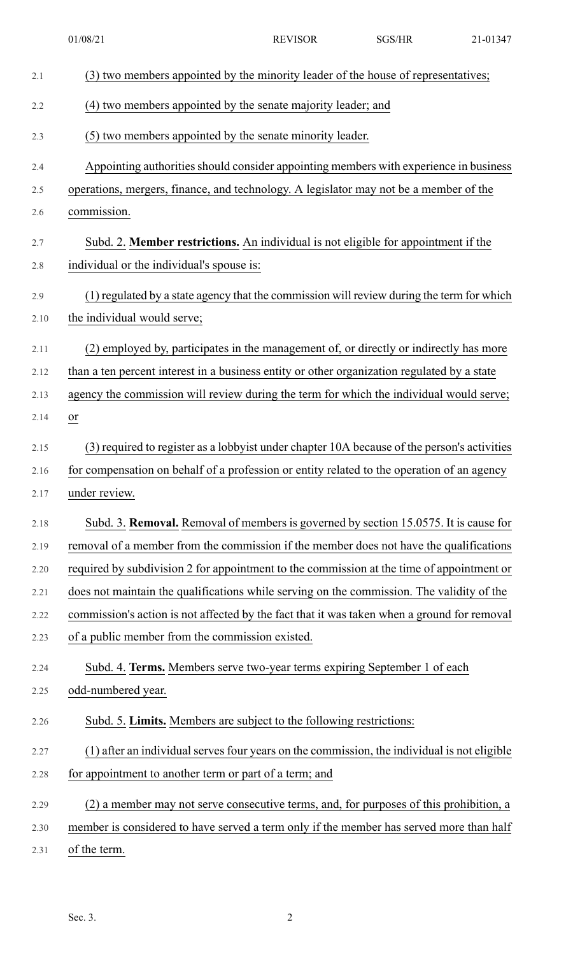| 2.1  | (3) two members appointed by the minority leader of the house of representatives;           |
|------|---------------------------------------------------------------------------------------------|
| 2.2  | (4) two members appointed by the senate majority leader; and                                |
| 2.3  | (5) two members appointed by the senate minority leader.                                    |
| 2.4  | Appointing authorities should consider appointing members with experience in business       |
| 2.5  | operations, mergers, finance, and technology. A legislator may not be a member of the       |
| 2.6  | commission.                                                                                 |
| 2.7  | Subd. 2. Member restrictions. An individual is not eligible for appointment if the          |
| 2.8  | individual or the individual's spouse is:                                                   |
| 2.9  | (1) regulated by a state agency that the commission will review during the term for which   |
| 2.10 | the individual would serve;                                                                 |
| 2.11 | (2) employed by, participates in the management of, or directly or indirectly has more      |
| 2.12 | than a ten percent interest in a business entity or other organization regulated by a state |
| 2.13 | agency the commission will review during the term for which the individual would serve;     |
| 2.14 | or                                                                                          |
| 2.15 | (3) required to register as a lobbyist under chapter 10A because of the person's activities |
| 2.16 | for compensation on behalf of a profession or entity related to the operation of an agency  |
| 2.17 | under review.                                                                               |
| 2.18 | Subd. 3. Removal. Removal of members is governed by section 15.0575. It is cause for        |
| 2.19 | removal of a member from the commission if the member does not have the qualifications      |
| 2.20 | required by subdivision 2 for appointment to the commission at the time of appointment or   |
| 2.21 | does not maintain the qualifications while serving on the commission. The validity of the   |
| 2.22 | commission's action is not affected by the fact that it was taken when a ground for removal |
| 2.23 | of a public member from the commission existed.                                             |
| 2.24 | Subd. 4. Terms. Members serve two-year terms expiring September 1 of each                   |
| 2.25 | odd-numbered year.                                                                          |
| 2.26 | Subd. 5. Limits. Members are subject to the following restrictions:                         |
| 2.27 | (1) after an individual serves four years on the commission, the individual is not eligible |
| 2.28 | for appointment to another term or part of a term; and                                      |
| 2.29 | (2) a member may not serve consecutive terms, and, for purposes of this prohibition, a      |
| 2.30 | member is considered to have served a term only if the member has served more than half     |
| 2.31 | of the term.                                                                                |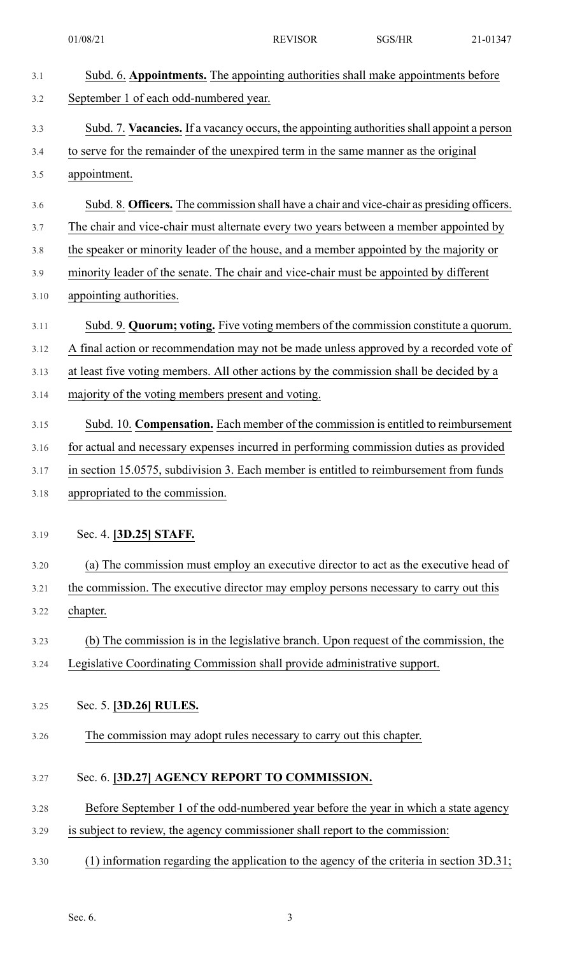| 3.1  | Subd. 6. Appointments. The appointing authorities shall make appointments before            |
|------|---------------------------------------------------------------------------------------------|
| 3.2  | September 1 of each odd-numbered year.                                                      |
| 3.3  | Subd. 7. Vacancies. If a vacancy occurs, the appointing authorities shall appoint a person  |
| 3.4  | to serve for the remainder of the unexpired term in the same manner as the original         |
| 3.5  | appointment.                                                                                |
| 3.6  | Subd. 8. Officers. The commission shall have a chair and vice-chair as presiding officers.  |
| 3.7  | The chair and vice-chair must alternate every two years between a member appointed by       |
| 3.8  | the speaker or minority leader of the house, and a member appointed by the majority or      |
| 3.9  | minority leader of the senate. The chair and vice-chair must be appointed by different      |
| 3.10 | appointing authorities.                                                                     |
| 3.11 | Subd. 9. Quorum; voting. Five voting members of the commission constitute a quorum.         |
| 3.12 | A final action or recommendation may not be made unless approved by a recorded vote of      |
| 3.13 | at least five voting members. All other actions by the commission shall be decided by a     |
| 3.14 | majority of the voting members present and voting.                                          |
| 3.15 | Subd. 10. Compensation. Each member of the commission is entitled to reimbursement          |
| 3.16 | for actual and necessary expenses incurred in performing commission duties as provided      |
| 3.17 | in section 15.0575, subdivision 3. Each member is entitled to reimbursement from funds      |
| 3.18 | appropriated to the commission.                                                             |
|      |                                                                                             |
| 3.19 | Sec. 4. [3D.25] STAFF.                                                                      |
| 3.20 | (a) The commission must employ an executive director to act as the executive head of        |
| 3.21 | the commission. The executive director may employ persons necessary to carry out this       |
| 3.22 | chapter.                                                                                    |
| 3.23 | (b) The commission is in the legislative branch. Upon request of the commission, the        |
| 3.24 | Legislative Coordinating Commission shall provide administrative support.                   |
|      |                                                                                             |
| 3.25 | Sec. 5. [3D.26] RULES.                                                                      |
| 3.26 | The commission may adopt rules necessary to carry out this chapter.                         |
| 3.27 | Sec. 6. [3D.27] AGENCY REPORT TO COMMISSION.                                                |
| 3.28 | Before September 1 of the odd-numbered year before the year in which a state agency         |
| 3.29 | is subject to review, the agency commissioner shall report to the commission:               |
| 3.30 | $(1)$ information regarding the application to the agency of the criteria in section 3D.31; |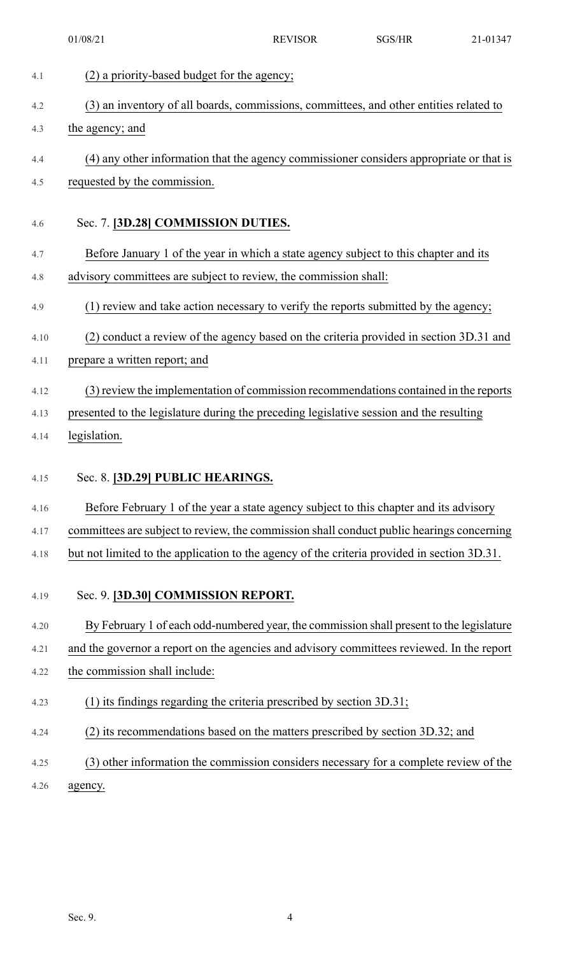| 4.1  | (2) a priority-based budget for the agency;                                                 |
|------|---------------------------------------------------------------------------------------------|
| 4.2  | (3) an inventory of all boards, commissions, committees, and other entities related to      |
| 4.3  | the agency; and                                                                             |
| 4.4  | (4) any other information that the agency commissioner considers appropriate or that is     |
| 4.5  | requested by the commission.                                                                |
|      |                                                                                             |
| 4.6  | Sec. 7. [3D.28] COMMISSION DUTIES.                                                          |
| 4.7  | Before January 1 of the year in which a state agency subject to this chapter and its        |
| 4.8  | advisory committees are subject to review, the commission shall:                            |
| 4.9  | (1) review and take action necessary to verify the reports submitted by the agency;         |
| 4.10 | (2) conduct a review of the agency based on the criteria provided in section 3D.31 and      |
| 4.11 | prepare a written report; and                                                               |
| 4.12 | (3) review the implementation of commission recommendations contained in the reports        |
| 4.13 | presented to the legislature during the preceding legislative session and the resulting     |
|      |                                                                                             |
| 4.14 | legislation.                                                                                |
|      |                                                                                             |
| 4.15 | Sec. 8. [3D.29] PUBLIC HEARINGS.                                                            |
| 4.16 | Before February 1 of the year a state agency subject to this chapter and its advisory       |
| 4.17 | committees are subject to review, the commission shall conduct public hearings concerning   |
| 4.18 | but not limited to the application to the agency of the criteria provided in section 3D.31. |
| 4.19 | Sec. 9. [3D.30] COMMISSION REPORT.                                                          |
| 4.20 | By February 1 of each odd-numbered year, the commission shall present to the legislature    |
| 4.21 | and the governor a report on the agencies and advisory committees reviewed. In the report   |
| 4.22 | the commission shall include:                                                               |
| 4.23 | (1) its findings regarding the criteria prescribed by section 3D.31;                        |
| 4.24 | (2) its recommendations based on the matters prescribed by section 3D.32; and               |
| 4.25 | (3) other information the commission considers necessary for a complete review of the       |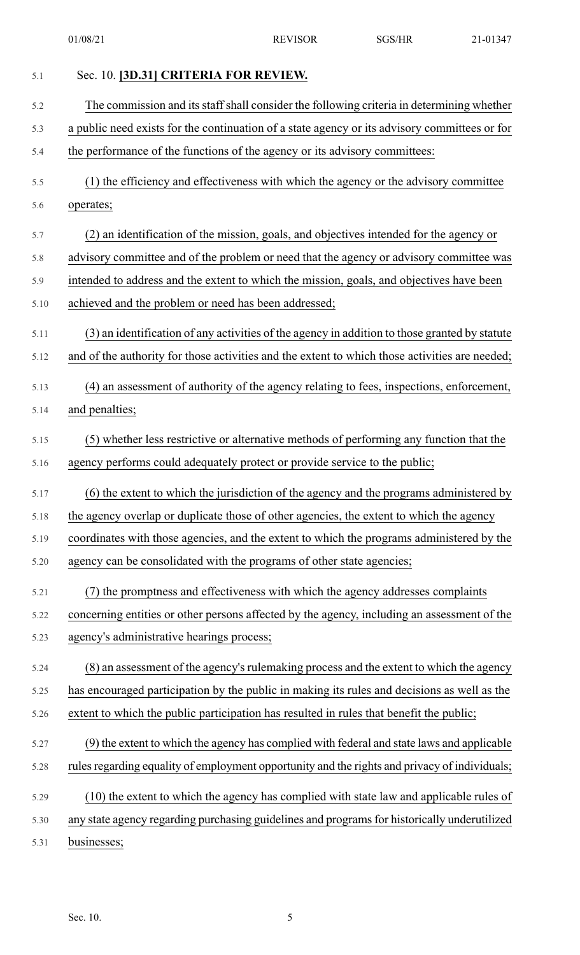| 5.1  | Sec. 10. [3D.31] CRITERIA FOR REVIEW.                                                          |
|------|------------------------------------------------------------------------------------------------|
| 5.2  | The commission and its staff shall consider the following criteria in determining whether      |
| 5.3  | a public need exists for the continuation of a state agency or its advisory committees or for  |
| 5.4  | the performance of the functions of the agency or its advisory committees:                     |
| 5.5  | (1) the efficiency and effectiveness with which the agency or the advisory committee           |
| 5.6  | operates;                                                                                      |
| 5.7  | (2) an identification of the mission, goals, and objectives intended for the agency or         |
| 5.8  | advisory committee and of the problem or need that the agency or advisory committee was        |
| 5.9  | intended to address and the extent to which the mission, goals, and objectives have been       |
| 5.10 | achieved and the problem or need has been addressed;                                           |
| 5.11 | (3) an identification of any activities of the agency in addition to those granted by statute  |
| 5.12 | and of the authority for those activities and the extent to which those activities are needed; |
| 5.13 | (4) an assessment of authority of the agency relating to fees, inspections, enforcement,       |
| 5.14 | and penalties;                                                                                 |
| 5.15 | (5) whether less restrictive or alternative methods of performing any function that the        |
| 5.16 | agency performs could adequately protect or provide service to the public;                     |
| 5.17 | (6) the extent to which the jurisdiction of the agency and the programs administered by        |
| 5.18 | the agency overlap or duplicate those of other agencies, the extent to which the agency        |
| 5.19 | coordinates with those agencies, and the extent to which the programs administered by the      |
| 5.20 | agency can be consolidated with the programs of other state agencies;                          |
| 5.21 | (7) the promptness and effectiveness with which the agency addresses complaints                |
| 5.22 | concerning entities or other persons affected by the agency, including an assessment of the    |
| 5.23 | agency's administrative hearings process;                                                      |
| 5.24 | (8) an assessment of the agency's rulemaking process and the extent to which the agency        |
| 5.25 | has encouraged participation by the public in making its rules and decisions as well as the    |
| 5.26 | extent to which the public participation has resulted in rules that benefit the public;        |
| 5.27 | (9) the extent to which the agency has complied with federal and state laws and applicable     |
| 5.28 | rules regarding equality of employment opportunity and the rights and privacy of individuals;  |
| 5.29 | (10) the extent to which the agency has complied with state law and applicable rules of        |
| 5.30 | any state agency regarding purchasing guidelines and programs for historically underutilized   |
| 5.31 | businesses;                                                                                    |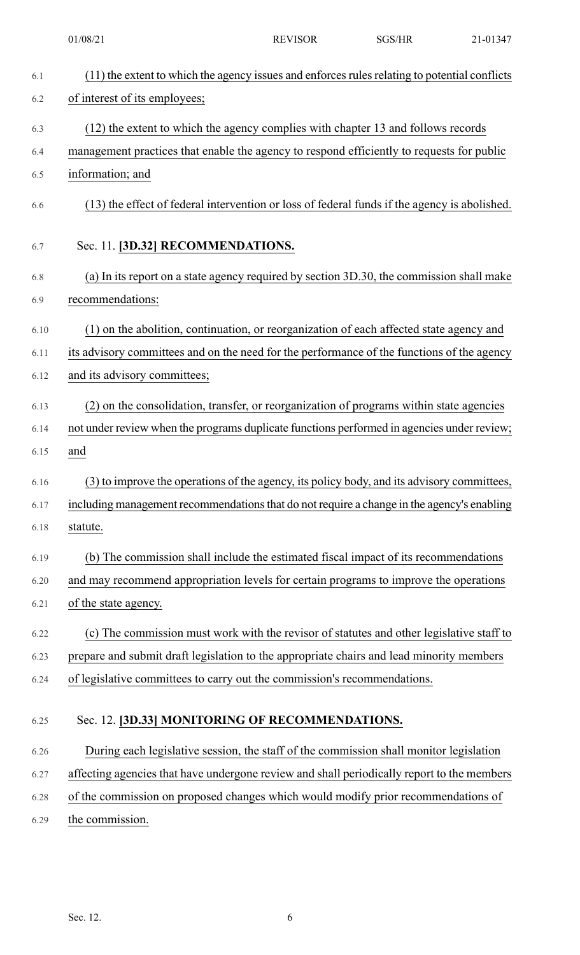|      | 01/08/21                                                                                   | <b>REVISOR</b>                                                                                | SGS/HR | 21-01347 |
|------|--------------------------------------------------------------------------------------------|-----------------------------------------------------------------------------------------------|--------|----------|
| 6.1  |                                                                                            | (11) the extent to which the agency issues and enforces rules relating to potential conflicts |        |          |
| 6.2  | of interest of its employees;                                                              |                                                                                               |        |          |
| 6.3  |                                                                                            | (12) the extent to which the agency complies with chapter 13 and follows records              |        |          |
| 6.4  | management practices that enable the agency to respond efficiently to requests for public  |                                                                                               |        |          |
| 6.5  | information; and                                                                           |                                                                                               |        |          |
| 6.6  |                                                                                            | (13) the effect of federal intervention or loss of federal funds if the agency is abolished.  |        |          |
| 6.7  | Sec. 11. [3D.32] RECOMMENDATIONS.                                                          |                                                                                               |        |          |
| 6.8  |                                                                                            | (a) In its report on a state agency required by section 3D.30, the commission shall make      |        |          |
| 6.9  | recommendations:                                                                           |                                                                                               |        |          |
| 6.10 |                                                                                            | (1) on the abolition, continuation, or reorganization of each affected state agency and       |        |          |
| 6.11 | its advisory committees and on the need for the performance of the functions of the agency |                                                                                               |        |          |
| 6.12 | and its advisory committees;                                                               |                                                                                               |        |          |
| 6.13 |                                                                                            | (2) on the consolidation, transfer, or reorganization of programs within state agencies       |        |          |
| 6.14 | not under review when the programs duplicate functions performed in agencies under review; |                                                                                               |        |          |
| 6.15 | and                                                                                        |                                                                                               |        |          |
| 6.16 |                                                                                            | (3) to improve the operations of the agency, its policy body, and its advisory committees,    |        |          |
| 6.17 | including management recommendations that do not require a change in the agency's enabling |                                                                                               |        |          |
| 6.18 | statute.                                                                                   |                                                                                               |        |          |
| 6.19 |                                                                                            | (b) The commission shall include the estimated fiscal impact of its recommendations           |        |          |
| 6.20 | and may recommend appropriation levels for certain programs to improve the operations      |                                                                                               |        |          |
| 6.21 | of the state agency.                                                                       |                                                                                               |        |          |
| 6.22 |                                                                                            | (c) The commission must work with the revisor of statutes and other legislative staff to      |        |          |
| 6.23 | prepare and submit draft legislation to the appropriate chairs and lead minority members   |                                                                                               |        |          |
| 6.24 | of legislative committees to carry out the commission's recommendations.                   |                                                                                               |        |          |
| 6.25 | Sec. 12. [3D.33] MONITORING OF RECOMMENDATIONS.                                            |                                                                                               |        |          |
| 6.26 |                                                                                            | During each legislative session, the staff of the commission shall monitor legislation        |        |          |
| 6.27 | affecting agencies that have undergone review and shall periodically report to the members |                                                                                               |        |          |
| 6.28 | of the commission on proposed changes which would modify prior recommendations of          |                                                                                               |        |          |
| 6.29 | the commission.                                                                            |                                                                                               |        |          |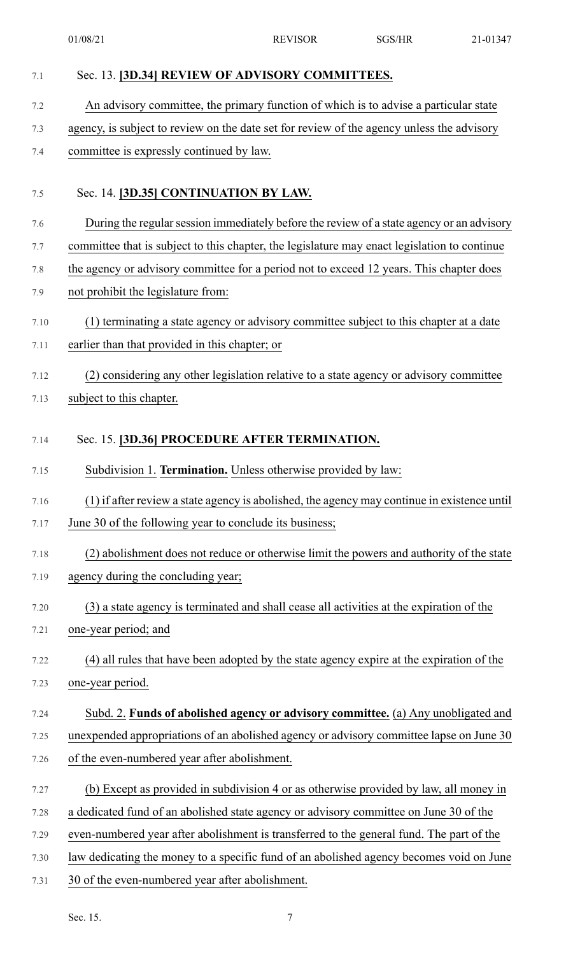| 7.1  | Sec. 13. [3D.34] REVIEW OF ADVISORY COMMITTEES.                                              |
|------|----------------------------------------------------------------------------------------------|
| 7.2  | An advisory committee, the primary function of which is to advise a particular state         |
| 7.3  | agency, is subject to review on the date set for review of the agency unless the advisory    |
| 7.4  | committee is expressly continued by law.                                                     |
| 7.5  | Sec. 14. [3D.35] CONTINUATION BY LAW.                                                        |
| 7.6  | During the regular session immediately before the review of a state agency or an advisory    |
| 7.7  | committee that is subject to this chapter, the legislature may enact legislation to continue |
| 7.8  | the agency or advisory committee for a period not to exceed 12 years. This chapter does      |
| 7.9  | not prohibit the legislature from:                                                           |
| 7.10 | (1) terminating a state agency or advisory committee subject to this chapter at a date       |
| 7.11 | earlier than that provided in this chapter; or                                               |
| 7.12 | (2) considering any other legislation relative to a state agency or advisory committee       |
| 7.13 | subject to this chapter.                                                                     |
| 7.14 | Sec. 15. [3D.36] PROCEDURE AFTER TERMINATION.                                                |
| 7.15 | Subdivision 1. Termination. Unless otherwise provided by law:                                |
| 7.16 | (1) if after review a state agency is abolished, the agency may continue in existence until  |
| 7.17 | June 30 of the following year to conclude its business;                                      |
| 7.18 | (2) abolishment does not reduce or otherwise limit the powers and authority of the state     |
| 7.19 | agency during the concluding year;                                                           |
| 7.20 | (3) a state agency is terminated and shall cease all activities at the expiration of the     |
| 7.21 | one-year period; and                                                                         |
| 7.22 | (4) all rules that have been adopted by the state agency expire at the expiration of the     |
| 7.23 | one-year period.                                                                             |
| 7.24 | Subd. 2. Funds of abolished agency or advisory committee. (a) Any unobligated and            |
| 7.25 | unexpended appropriations of an abolished agency or advisory committee lapse on June 30      |
| 7.26 | of the even-numbered year after abolishment.                                                 |
| 7.27 | (b) Except as provided in subdivision 4 or as otherwise provided by law, all money in        |
| 7.28 | a dedicated fund of an abolished state agency or advisory committee on June 30 of the        |
| 7.29 | even-numbered year after abolishment is transferred to the general fund. The part of the     |
| 7.30 | law dedicating the money to a specific fund of an abolished agency becomes void on June      |
| 7.31 | 30 of the even-numbered year after abolishment.                                              |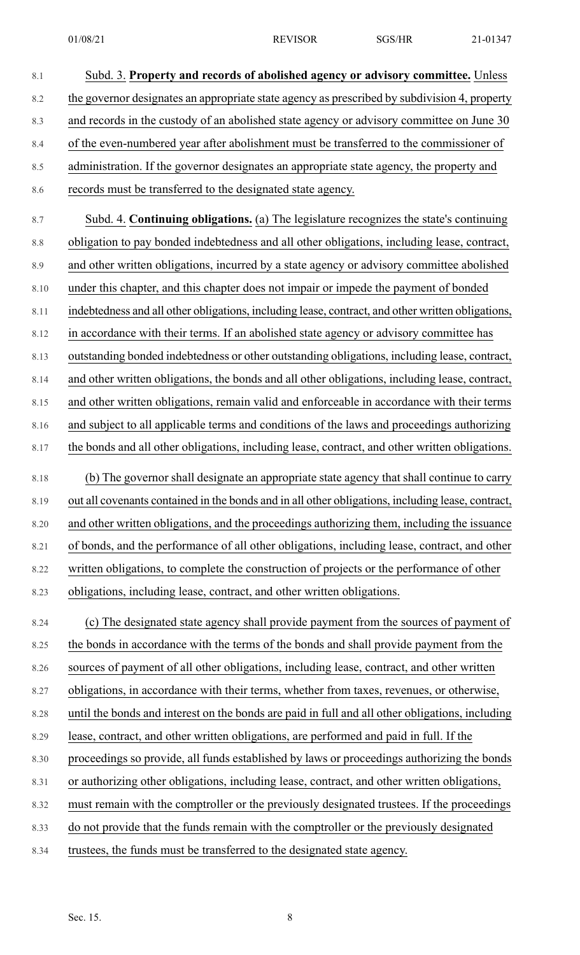8.3 and records in the custody of an abolished state agency or advisory committee on June 30

8.4 of the even-numbered year after abolishment must be transferred to the commissioner of

- 8.5 administration. If the governor designates an appropriate state agency, the property and
- 8.6 records must be transferred to the designated state agency.
- 8.7 Subd. 4. **Continuing obligations.** (a) The legislature recognizes the state's continuing 8.8 obligation to pay bonded indebtedness and all other obligations, including lease, contract,

8.9 and other written obligations, incurred by a state agency or advisory committee abolished

8.10 under this chapter, and this chapter does not impair or impede the payment of bonded

8.11 indebtedness and all other obligations, including lease, contract, and other written obligations,

8.12 in accordance with their terms. If an abolished state agency or advisory committee has

8.13 outstanding bonded indebtedness or other outstanding obligations, including lease, contract,

8.14 and other written obligations, the bonds and all other obligations, including lease, contract,

8.15 and other written obligations, remain valid and enforceable in accordance with their terms

8.16 and subject to all applicable terms and conditions of the laws and proceedings authorizing

- 8.17 the bonds and all other obligations, including lease, contract, and other written obligations.
- 8.18 (b) The governor shall designate an appropriate state agency that shall continue to carry 8.19 out all covenants contained in the bonds and in all other obligations, including lease, contract, 8.20 and other written obligations, and the proceedings authorizing them, including the issuance 8.21 of bonds, and the performance of all other obligations, including lease, contract, and other 8.22 written obligations, to complete the construction of projects or the performance of other 8.23 obligations, including lease, contract, and other written obligations.

8.24 (c) The designated state agency shall provide payment from the sources of payment of

8.25 the bonds in accordance with the terms of the bonds and shall provide payment from the

8.26 sources of payment of all other obligations, including lease, contract, and other written

8.27 obligations, in accordance with their terms, whether from taxes, revenues, or otherwise,

8.28 until the bonds and interest on the bonds are paid in full and all other obligations, including

- 8.29 lease, contract, and other written obligations, are performed and paid in full. If the
- 8.30 proceedings so provide, all funds established by laws or proceedings authorizing the bonds
- 8.31 or authorizing other obligations, including lease, contract, and other written obligations,
- 8.32 must remain with the comptroller or the previously designated trustees. If the proceedings

8.33 do not provide that the funds remain with the comptroller or the previously designated

8.34 trustees, the funds must be transferred to the designated state agency.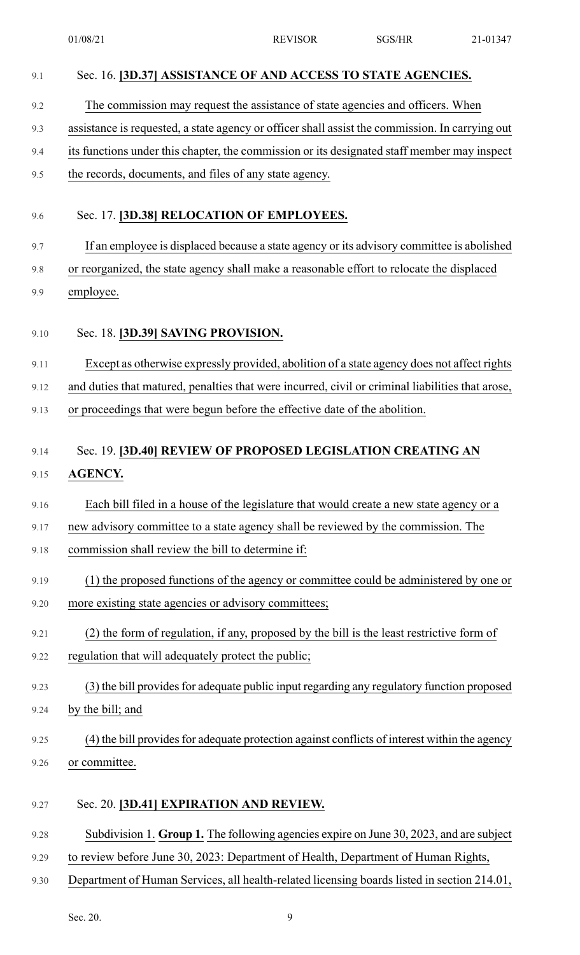| 9.1  | Sec. 16. [3D.37] ASSISTANCE OF AND ACCESS TO STATE AGENCIES.                                                                                                                                   |
|------|------------------------------------------------------------------------------------------------------------------------------------------------------------------------------------------------|
| 9.2  | The commission may request the assistance of state agencies and officers. When                                                                                                                 |
| 9.3  | assistance is requested, a state agency or officer shall assist the commission. In carrying out                                                                                                |
| 9.4  | its functions under this chapter, the commission or its designated staff member may inspect                                                                                                    |
| 9.5  | the records, documents, and files of any state agency.                                                                                                                                         |
|      |                                                                                                                                                                                                |
| 9.6  | Sec. 17. [3D.38] RELOCATION OF EMPLOYEES.                                                                                                                                                      |
| 9.7  | If an employee is displaced because a state agency or its advisory committee is abolished                                                                                                      |
| 9.8  | or reorganized, the state agency shall make a reasonable effort to relocate the displaced                                                                                                      |
| 9.9  | employee.                                                                                                                                                                                      |
| 9.10 | Sec. 18. [3D.39] SAVING PROVISION.                                                                                                                                                             |
|      |                                                                                                                                                                                                |
| 9.11 | Except as otherwise expressly provided, abolition of a state agency does not affect rights<br>and duties that matured, penalties that were incurred, civil or criminal liabilities that arose, |
| 9.12 |                                                                                                                                                                                                |
| 9.13 | or proceedings that were begun before the effective date of the abolition.                                                                                                                     |
| 9.14 | Sec. 19. [3D.40] REVIEW OF PROPOSED LEGISLATION CREATING AN                                                                                                                                    |
| 9.15 | <b>AGENCY.</b>                                                                                                                                                                                 |
| 9.16 | Each bill filed in a house of the legislature that would create a new state agency or a                                                                                                        |
| 9.17 | new advisory committee to a state agency shall be reviewed by the commission. The                                                                                                              |
| 9.18 | commission shall review the bill to determine if:                                                                                                                                              |
|      |                                                                                                                                                                                                |
| 9.19 | (1) the proposed functions of the agency or committee could be administered by one or                                                                                                          |
| 9.20 | more existing state agencies or advisory committees;                                                                                                                                           |
| 9.21 | (2) the form of regulation, if any, proposed by the bill is the least restrictive form of                                                                                                      |
| 9.22 | regulation that will adequately protect the public;                                                                                                                                            |
| 9.23 | (3) the bill provides for adequate public input regarding any regulatory function proposed                                                                                                     |
| 9.24 | by the bill; and                                                                                                                                                                               |
| 9.25 | (4) the bill provides for adequate protection against conflicts of interest within the agency                                                                                                  |
| 9.26 | or committee.                                                                                                                                                                                  |
| 9.27 | Sec. 20. [3D.41] EXPIRATION AND REVIEW.                                                                                                                                                        |
| 9.28 | Subdivision 1. Group 1. The following agencies expire on June 30, 2023, and are subject                                                                                                        |
| 9.29 | to review before June 30, 2023: Department of Health, Department of Human Rights,                                                                                                              |
| 9.30 | Department of Human Services, all health-related licensing boards listed in section 214.01,                                                                                                    |
|      |                                                                                                                                                                                                |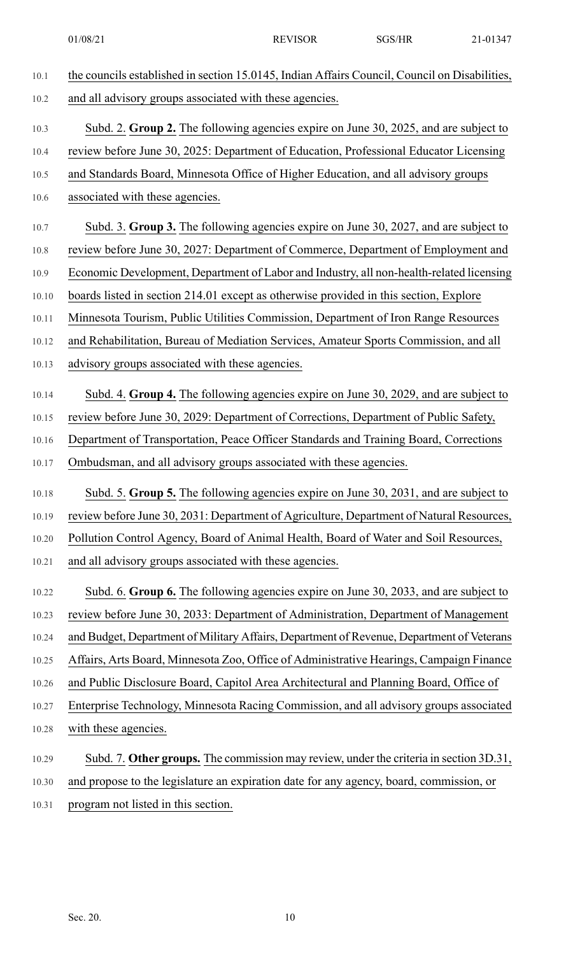- 10.1 the councils established in section 15.0145, Indian Affairs Council, Council on Disabilities, 10.2 and all advisory groups associated with these agencies. 10.3 Subd. 2. **Group 2.** The following agencies expire on June 30, 2025, and are subject to 10.4 review before June 30, 2025: Department of Education, Professional Educator Licensing 10.5 and Standards Board, Minnesota Office of Higher Education, and all advisory groups 10.6 associated with these agencies. 10.7 Subd. 3. **Group 3.** The following agencies expire on June 30, 2027, and are subject to 10.8 review before June 30, 2027: Department of Commerce, Department of Employment and 10.9 Economic Development, Department of Labor and Industry, all non-health-related licensing 10.10 boards listed in section 214.01 except as otherwise provided in this section, Explore 10.11 Minnesota Tourism, Public Utilities Commission, Department of Iron Range Resources 10.12 and Rehabilitation, Bureau of Mediation Services, Amateur Sports Commission, and all 10.13 advisory groups associated with these agencies. 10.14 Subd. 4. **Group 4.** The following agencies expire on June 30, 2029, and are subject to 10.15 review before June 30, 2029: Department of Corrections, Department of Public Safety, 10.16 Department of Transportation, Peace Officer Standards and Training Board, Corrections 10.17 Ombudsman, and all advisory groups associated with these agencies. 10.18 Subd. 5. **Group 5.** The following agencies expire on June 30, 2031, and are subject to 10.19 review before June 30, 2031: Department of Agriculture, Department of Natural Resources, 10.20 Pollution Control Agency, Board of Animal Health, Board of Water and Soil Resources, 10.21 and all advisory groups associated with these agencies. 10.22 Subd. 6. **Group 6.** The following agencies expire on June 30, 2033, and are subject to 10.23 review before June 30, 2033: Department of Administration, Department of Management 10.24 and Budget, Department of Military Affairs, Department of Revenue, Department of Veterans 10.25 Affairs, Arts Board, Minnesota Zoo, Office of Administrative Hearings, Campaign Finance 10.26 and Public Disclosure Board, Capitol Area Architectural and Planning Board, Office of 10.27 Enterprise Technology, Minnesota Racing Commission, and all advisory groups associated 10.28 with these agencies. 10.29 Subd. 7. **Other groups.** The commission may review, under the criteria in section 3D.31, 10.30 and propose to the legislature an expiration date for any agency, board, commission, or
- 10.31 program not listed in this section.